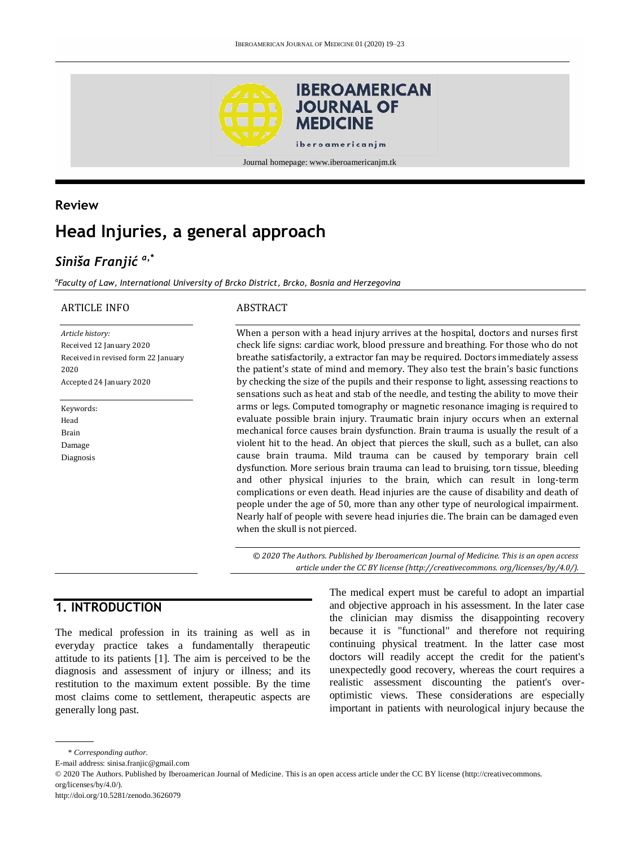

#### **Review**

# **Head Injuries, a general approach**

# *Siniša Franjić a,\**

*a Faculty of Law, International University of Brcko District, Brcko, Bosnia and Herzegovina*

#### ARTICLE INFO

#### ABSTRACT

*Article history:* Received 12 January 2020 Received in revised form 22 January 2020 Accepted 24 January 2020

Keywords: Head Brain Damage Diagnosis

When a person with a head injury arrives at the hospital, doctors and nurses first check life signs: cardiac work, blood pressure and breathing. For those who do not breathe satisfactorily, a extractor fan may be required. Doctors immediately assess the patient's state of mind and memory. They also test the brain's basic functions by checking the size of the pupils and their response to light, assessing reactions to sensations such as heat and stab of the needle, and testing the ability to move their arms or legs. Computed tomography or magnetic resonance imaging is required to evaluate possible brain injury. Traumatic brain injury occurs when an external mechanical force causes brain dysfunction. Brain trauma is usually the result of a violent hit to the head. An object that pierces the skull, such as a bullet, can also cause brain trauma. Mild trauma can be caused by temporary brain cell dysfunction. More serious brain trauma can lead to bruising, torn tissue, bleeding and other physical injuries to the brain, which can result in long-term complications or even death. Head injuries are the cause of disability and death of people under the age of 50, more than any other type of neurological impairment. Nearly half of people with severe head injuries die. The brain can be damaged even when the skull is not pierced.

*© 2020 The Authors. Published by Iberoamerican Journal of Medicine. This is an open access article under the CC BY license (http:/[/creativecommons. org/licenses/by/4.0/\)](https://creativecommons.org/licenses/by/4.0/).*

# **1. INTRODUCTION**

The medical profession in its training as well as in everyday practice takes a fundamentally therapeutic attitude to its patients [1]. The aim is perceived to be the diagnosis and assessment of injury or illness; and its restitution to the maximum extent possible. By the time most claims come to settlement, therapeutic aspects are generally long past.

The medical expert must be careful to adopt an impartial and objective approach in his assessment. In the later case the clinician may dismiss the disappointing recovery because it is "functional" and therefore not requiring continuing physical treatment. In the latter case most doctors will readily accept the credit for the patient's unexpectedly good recovery, whereas the court requires a realistic assessment discounting the patient's overoptimistic views. These considerations are especially important in patients with neurological injury because the

<sup>\*</sup> *Corresponding author.*

E-mail address: sinisa.franjic@gmail.com

<sup>© 2020</sup> The Authors. Published by Iberoamerican Journal of Medicine. This is an open access article under the CC BY license (http://creativecommons. org/licenses/by/4.0/).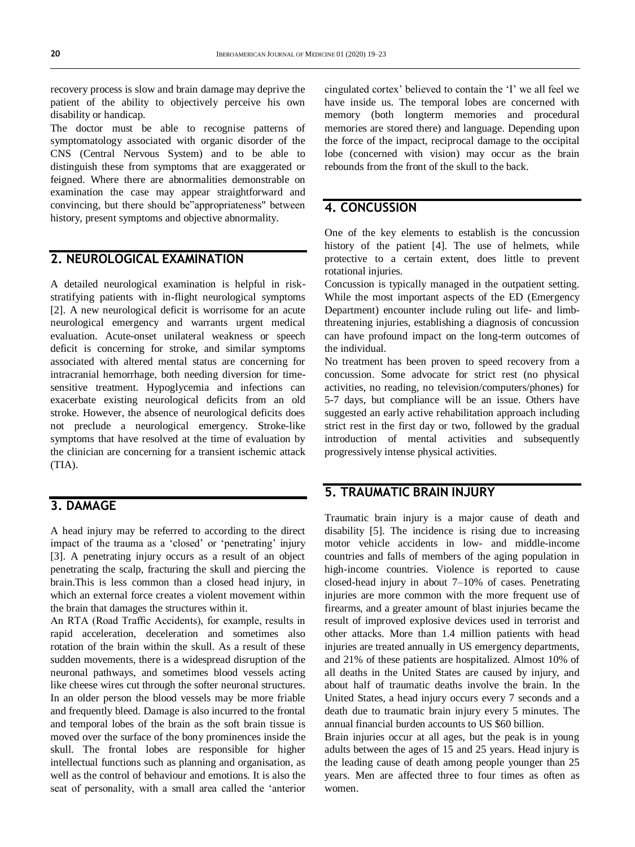recovery process is slow and brain damage may deprive the patient of the ability to objectively perceive his own disability or handicap.

The doctor must be able to recognise patterns of symptomatology associated with organic disorder of the CNS (Central Nervous System) and to be able to distinguish these from symptoms that are exaggerated or feigned. Where there are abnormalities demonstrable on examination the case may appear straightforward and convincing, but there should be"appropriateness" between history, present symptoms and objective abnormality.

# **2. NEUROLOGICAL EXAMINATION**

A detailed neurological examination is helpful in riskstratifying patients with in-flight neurological symptoms [2]. A new neurological deficit is worrisome for an acute neurological emergency and warrants urgent medical evaluation. Acute-onset unilateral weakness or speech deficit is concerning for stroke, and similar symptoms associated with altered mental status are concerning for intracranial hemorrhage, both needing diversion for timesensitive treatment. Hypoglycemia and infections can exacerbate existing neurological deficits from an old stroke. However, the absence of neurological deficits does not preclude a neurological emergency. Stroke-like symptoms that have resolved at the time of evaluation by the clinician are concerning for a transient ischemic attack  $(TIA)$ .

# **3. DAMAGE**

A head injury may be referred to according to the direct impact of the trauma as a 'closed' or 'penetrating' injury [3]. A penetrating injury occurs as a result of an object penetrating the scalp, fracturing the skull and piercing the brain.This is less common than a closed head injury, in which an external force creates a violent movement within the brain that damages the structures within it.

An RTA (Road Traffic Accidents), for example, results in rapid acceleration, deceleration and sometimes also rotation of the brain within the skull. As a result of these sudden movements, there is a widespread disruption of the neuronal pathways, and sometimes blood vessels acting like cheese wires cut through the softer neuronal structures. In an older person the blood vessels may be more friable and frequently bleed. Damage is also incurred to the frontal and temporal lobes of the brain as the soft brain tissue is moved over the surface of the bony prominences inside the skull. The frontal lobes are responsible for higher intellectual functions such as planning and organisation, as well as the control of behaviour and emotions. It is also the seat of personality, with a small area called the 'anterior

cingulated cortex' believed to contain the 'I' we all feel we have inside us. The temporal lobes are concerned with memory (both longterm memories and procedural memories are stored there) and language. Depending upon the force of the impact, reciprocal damage to the occipital lobe (concerned with vision) may occur as the brain rebounds from the front of the skull to the back.

# **4. CONCUSSION**

One of the key elements to establish is the concussion history of the patient [4]. The use of helmets, while protective to a certain extent, does little to prevent rotational injuries.

Concussion is typically managed in the outpatient setting. While the most important aspects of the ED (Emergency Department) encounter include ruling out life- and limbthreatening injuries, establishing a diagnosis of concussion can have profound impact on the long-term outcomes of the individual.

No treatment has been proven to speed recovery from a concussion. Some advocate for strict rest (no physical activities, no reading, no television/computers/phones) for 5-7 days, but compliance will be an issue. Others have suggested an early active rehabilitation approach including strict rest in the first day or two, followed by the gradual introduction of mental activities and subsequently progressively intense physical activities.

### **5. TRAUMATIC BRAIN INJURY**

Traumatic brain injury is a major cause of death and disability [5]. The incidence is rising due to increasing motor vehicle accidents in low- and middle-income countries and falls of members of the aging population in high-income countries. Violence is reported to cause closed-head injury in about 7–10% of cases. Penetrating injuries are more common with the more frequent use of firearms, and a greater amount of blast injuries became the result of improved explosive devices used in terrorist and other attacks. More than 1.4 million patients with head injuries are treated annually in US emergency departments, and 21% of these patients are hospitalized. Almost 10% of all deaths in the United States are caused by injury, and about half of traumatic deaths involve the brain. In the United States, a head injury occurs every 7 seconds and a death due to traumatic brain injury every 5 minutes. The annual financial burden accounts to US \$60 billion.

Brain injuries occur at all ages, but the peak is in young adults between the ages of 15 and 25 years. Head injury is the leading cause of death among people younger than 25 years. Men are affected three to four times as often as women.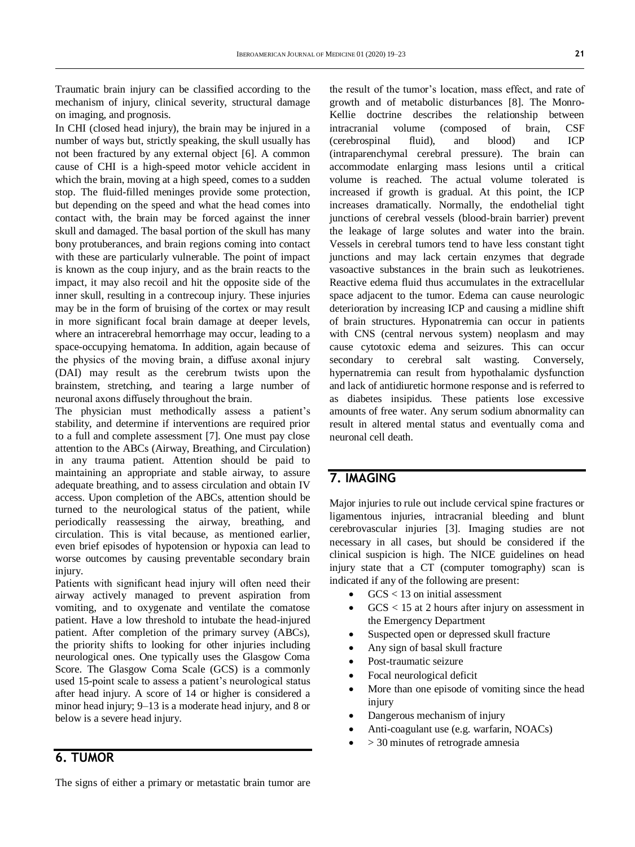Traumatic brain injury can be classified according to the mechanism of injury, clinical severity, structural damage on imaging, and prognosis.

In CHI (closed head injury), the brain may be injured in a number of ways but, strictly speaking, the skull usually has not been fractured by any external object [6]. A common cause of CHI is a high-speed motor vehicle accident in which the brain, moving at a high speed, comes to a sudden stop. The fluid-filled meninges provide some protection, but depending on the speed and what the head comes into contact with, the brain may be forced against the inner skull and damaged. The basal portion of the skull has many bony protuberances, and brain regions coming into contact with these are particularly vulnerable. The point of impact is known as the coup injury, and as the brain reacts to the impact, it may also recoil and hit the opposite side of the inner skull, resulting in a contrecoup injury. These injuries may be in the form of bruising of the cortex or may result in more significant focal brain damage at deeper levels, where an intracerebral hemorrhage may occur, leading to a space-occupying hematoma. In addition, again because of the physics of the moving brain, a diffuse axonal injury (DAI) may result as the cerebrum twists upon the brainstem, stretching, and tearing a large number of neuronal axons diffusely throughout the brain.

The physician must methodically assess a patient's stability, and determine if interventions are required prior to a full and complete assessment [7]. One must pay close attention to the ABCs (Airway, Breathing, and Circulation) in any trauma patient. Attention should be paid to maintaining an appropriate and stable airway, to assure adequate breathing, and to assess circulation and obtain IV access. Upon completion of the ABCs, attention should be turned to the neurological status of the patient, while periodically reassessing the airway, breathing, and circulation. This is vital because, as mentioned earlier, even brief episodes of hypotension or hypoxia can lead to worse outcomes by causing preventable secondary brain injury.

Patients with significant head injury will often need their airway actively managed to prevent aspiration from vomiting, and to oxygenate and ventilate the comatose patient. Have a low threshold to intubate the head-injured patient. After completion of the primary survey (ABCs), the priority shifts to looking for other injuries including neurological ones. One typically uses the Glasgow Coma Score. The Glasgow Coma Scale (GCS) is a commonly used 15-point scale to assess a patient's neurological status after head injury. A score of 14 or higher is considered a minor head injury; 9–13 is a moderate head injury, and 8 or below is a severe head injury.

**6. TUMOR**

the result of the tumor's location, mass effect, and rate of growth and of metabolic disturbances [8]. The Monro-Kellie doctrine describes the relationship between intracranial volume (composed of brain, CSF (cerebrospinal fluid), and blood) and ICP (intraparenchymal cerebral pressure). The brain can

accommodate enlarging mass lesions until a critical volume is reached. The actual volume tolerated is increased if growth is gradual. At this point, the ICP increases dramatically. Normally, the endothelial tight junctions of cerebral vessels (blood-brain barrier) prevent the leakage of large solutes and water into the brain. Vessels in cerebral tumors tend to have less constant tight junctions and may lack certain enzymes that degrade vasoactive substances in the brain such as leukotrienes. Reactive edema fluid thus accumulates in the extracellular space adjacent to the tumor. Edema can cause neurologic deterioration by increasing ICP and causing a midline shift of brain structures. Hyponatremia can occur in patients with CNS (central nervous system) neoplasm and may cause cytotoxic edema and seizures. This can occur secondary to cerebral salt wasting. Conversely, hypernatremia can result from hypothalamic dysfunction and lack of antidiuretic hormone response and is referred to as diabetes insipidus. These patients lose excessive amounts of free water. Any serum sodium abnormality can result in altered mental status and eventually coma and neuronal cell death.

### **7. IMAGING**

Major injuries to rule out include cervical spine fractures or ligamentous injuries, intracranial bleeding and blunt cerebrovascular injuries [3]. Imaging studies are not necessary in all cases, but should be considered if the clinical suspicion is high. The NICE guidelines on head injury state that a CT (computer tomography) scan is indicated if any of the following are present:

- $\bullet$  GCS < 13 on initial assessment
- GCS < 15 at 2 hours after injury on assessment in the Emergency Department
- Suspected open or depressed skull fracture
- Any sign of basal skull fracture
- Post-traumatic seizure
- Focal neurological deficit
- More than one episode of vomiting since the head injury
- Dangerous mechanism of injury
- Anti-coagulant use (e.g. warfarin, NOACs)
- > 30 minutes of retrograde amnesia

The signs of either a primary or metastatic brain tumor are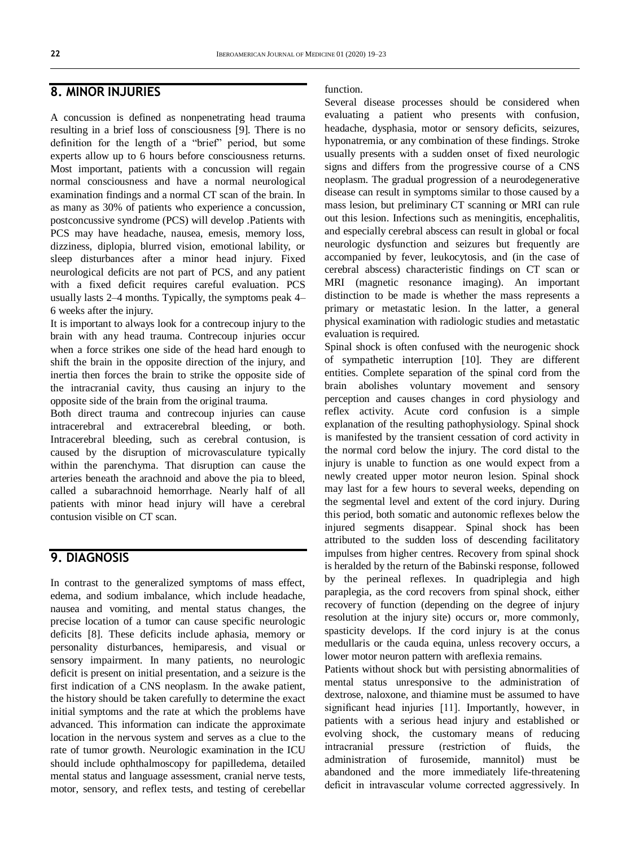## **8. MINOR INJURIES**

A concussion is defined as nonpenetrating head trauma resulting in a brief loss of consciousness [9]. There is no definition for the length of a "brief" period, but some experts allow up to 6 hours before consciousness returns. Most important, patients with a concussion will regain normal consciousness and have a normal neurological examination findings and a normal CT scan of the brain. In as many as 30% of patients who experience a concussion, postconcussive syndrome (PCS) will develop .Patients with PCS may have headache, nausea, emesis, memory loss, dizziness, diplopia, blurred vision, emotional lability, or sleep disturbances after a minor head injury. Fixed neurological deficits are not part of PCS, and any patient with a fixed deficit requires careful evaluation. PCS usually lasts 2–4 months. Typically, the symptoms peak 4– 6 weeks after the injury.

It is important to always look for a contrecoup injury to the brain with any head trauma. Contrecoup injuries occur when a force strikes one side of the head hard enough to shift the brain in the opposite direction of the injury, and inertia then forces the brain to strike the opposite side of the intracranial cavity, thus causing an injury to the opposite side of the brain from the original trauma.

Both direct trauma and contrecoup injuries can cause intracerebral and extracerebral bleeding, or both. Intracerebral bleeding, such as cerebral contusion, is caused by the disruption of microvasculature typically within the parenchyma. That disruption can cause the arteries beneath the arachnoid and above the pia to bleed, called a subarachnoid hemorrhage. Nearly half of all patients with minor head injury will have a cerebral contusion visible on CT scan.

#### **9. DIAGNOSIS**

In contrast to the generalized symptoms of mass effect, edema, and sodium imbalance, which include headache, nausea and vomiting, and mental status changes, the precise location of a tumor can cause specific neurologic deficits [8]. These deficits include aphasia, memory or personality disturbances, hemiparesis, and visual or sensory impairment. In many patients, no neurologic deficit is present on initial presentation, and a seizure is the first indication of a CNS neoplasm. In the awake patient, the history should be taken carefully to determine the exact initial symptoms and the rate at which the problems have advanced. This information can indicate the approximate location in the nervous system and serves as a clue to the rate of tumor growth. Neurologic examination in the ICU should include ophthalmoscopy for papilledema, detailed mental status and language assessment, cranial nerve tests, motor, sensory, and reflex tests, and testing of cerebellar

function.

Several disease processes should be considered when evaluating a patient who presents with confusion, headache, dysphasia, motor or sensory deficits, seizures, hyponatremia, or any combination of these findings. Stroke usually presents with a sudden onset of fixed neurologic signs and differs from the progressive course of a CNS neoplasm. The gradual progression of a neurodegenerative disease can result in symptoms similar to those caused by a mass lesion, but preliminary CT scanning or MRI can rule out this lesion. Infections such as meningitis, encephalitis, and especially cerebral abscess can result in global or focal neurologic dysfunction and seizures but frequently are accompanied by fever, leukocytosis, and (in the case of cerebral abscess) characteristic findings on CT scan or MRI (magnetic resonance imaging). An important distinction to be made is whether the mass represents a primary or metastatic lesion. In the latter, a general physical examination with radiologic studies and metastatic evaluation is required.

Spinal shock is often confused with the neurogenic shock of sympathetic interruption [10]. They are different entities. Complete separation of the spinal cord from the brain abolishes voluntary movement and sensory perception and causes changes in cord physiology and reflex activity. Acute cord confusion is a simple explanation of the resulting pathophysiology. Spinal shock is manifested by the transient cessation of cord activity in the normal cord below the injury. The cord distal to the injury is unable to function as one would expect from a newly created upper motor neuron lesion. Spinal shock may last for a few hours to several weeks, depending on the segmental level and extent of the cord injury. During this period, both somatic and autonomic reflexes below the injured segments disappear. Spinal shock has been attributed to the sudden loss of descending facilitatory impulses from higher centres. Recovery from spinal shock is heralded by the return of the Babinski response, followed by the perineal reflexes. In quadriplegia and high paraplegia, as the cord recovers from spinal shock, either recovery of function (depending on the degree of injury resolution at the injury site) occurs or, more commonly, spasticity develops. If the cord injury is at the conus medullaris or the cauda equina, unless recovery occurs, a lower motor neuron pattern with areflexia remains.

Patients without shock but with persisting abnormalities of mental status unresponsive to the administration of dextrose, naloxone, and thiamine must be assumed to have significant head injuries [11]. Importantly, however, in patients with a serious head injury and established or evolving shock, the customary means of reducing intracranial pressure (restriction of fluids, the administration of furosemide, mannitol) must be abandoned and the more immediately life-threatening deficit in intravascular volume corrected aggressively. In